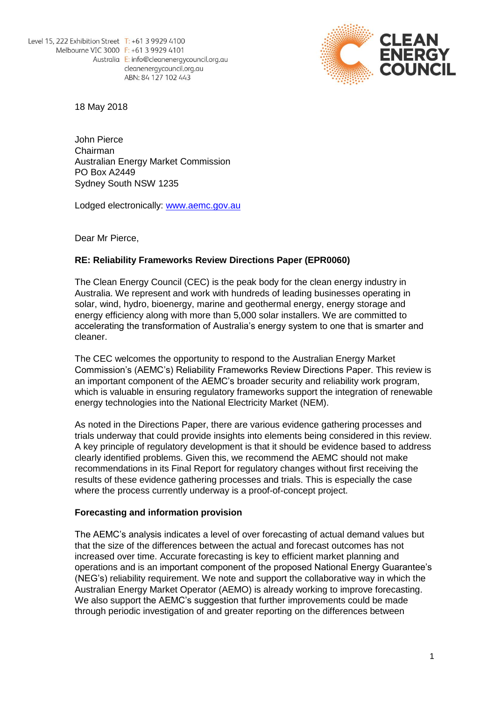

18 May 2018

John Pierce Chairman Australian Energy Market Commission PO Box A2449 Sydney South NSW 1235

Lodged electronically: [www.aemc.gov.au](http://www.aemc.gov.au/)

Dear Mr Pierce,

# **RE: Reliability Frameworks Review Directions Paper (EPR0060)**

The Clean Energy Council (CEC) is the peak body for the clean energy industry in Australia. We represent and work with hundreds of leading businesses operating in solar, wind, hydro, bioenergy, marine and geothermal energy, energy storage and energy efficiency along with more than 5,000 solar installers. We are committed to accelerating the transformation of Australia's energy system to one that is smarter and cleaner.

The CEC welcomes the opportunity to respond to the Australian Energy Market Commission's (AEMC's) Reliability Frameworks Review Directions Paper. This review is an important component of the AEMC's broader security and reliability work program, which is valuable in ensuring regulatory frameworks support the integration of renewable energy technologies into the National Electricity Market (NEM).

As noted in the Directions Paper, there are various evidence gathering processes and trials underway that could provide insights into elements being considered in this review. A key principle of regulatory development is that it should be evidence based to address clearly identified problems. Given this, we recommend the AEMC should not make recommendations in its Final Report for regulatory changes without first receiving the results of these evidence gathering processes and trials. This is especially the case where the process currently underway is a proof-of-concept project.

### **Forecasting and information provision**

The AEMC's analysis indicates a level of over forecasting of actual demand values but that the size of the differences between the actual and forecast outcomes has not increased over time. Accurate forecasting is key to efficient market planning and operations and is an important component of the proposed National Energy Guarantee's (NEG's) reliability requirement. We note and support the collaborative way in which the Australian Energy Market Operator (AEMO) is already working to improve forecasting. We also support the AEMC's suggestion that further improvements could be made through periodic investigation of and greater reporting on the differences between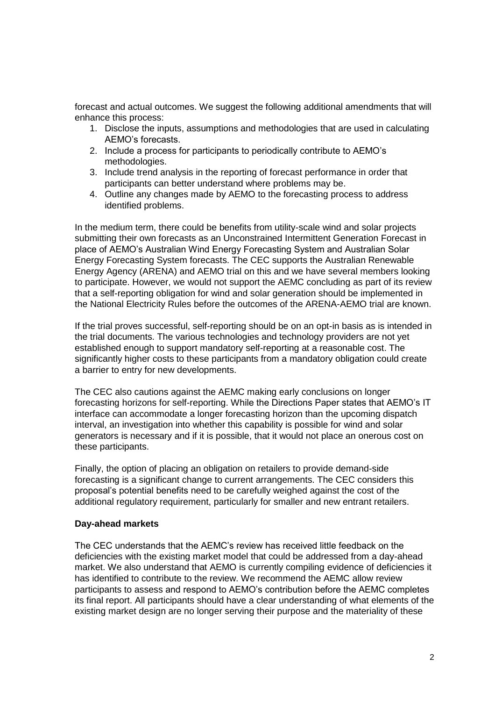forecast and actual outcomes. We suggest the following additional amendments that will enhance this process:

- 1. Disclose the inputs, assumptions and methodologies that are used in calculating AEMO's forecasts.
- 2. Include a process for participants to periodically contribute to AEMO's methodologies.
- 3. Include trend analysis in the reporting of forecast performance in order that participants can better understand where problems may be.
- 4. Outline any changes made by AEMO to the forecasting process to address identified problems.

In the medium term, there could be benefits from utility-scale wind and solar projects submitting their own forecasts as an Unconstrained Intermittent Generation Forecast in place of AEMO's Australian Wind Energy Forecasting System and Australian Solar Energy Forecasting System forecasts. The CEC supports the Australian Renewable Energy Agency (ARENA) and AEMO trial on this and we have several members looking to participate. However, we would not support the AEMC concluding as part of its review that a self-reporting obligation for wind and solar generation should be implemented in the National Electricity Rules before the outcomes of the ARENA-AEMO trial are known.

If the trial proves successful, self-reporting should be on an opt-in basis as is intended in the trial documents. The various technologies and technology providers are not yet established enough to support mandatory self-reporting at a reasonable cost. The significantly higher costs to these participants from a mandatory obligation could create a barrier to entry for new developments.

The CEC also cautions against the AEMC making early conclusions on longer forecasting horizons for self-reporting. While the Directions Paper states that AEMO's IT interface can accommodate a longer forecasting horizon than the upcoming dispatch interval, an investigation into whether this capability is possible for wind and solar generators is necessary and if it is possible, that it would not place an onerous cost on these participants.

Finally, the option of placing an obligation on retailers to provide demand-side forecasting is a significant change to current arrangements. The CEC considers this proposal's potential benefits need to be carefully weighed against the cost of the additional regulatory requirement, particularly for smaller and new entrant retailers.

## **Day-ahead markets**

The CEC understands that the AEMC's review has received little feedback on the deficiencies with the existing market model that could be addressed from a day-ahead market. We also understand that AEMO is currently compiling evidence of deficiencies it has identified to contribute to the review. We recommend the AEMC allow review participants to assess and respond to AEMO's contribution before the AEMC completes its final report. All participants should have a clear understanding of what elements of the existing market design are no longer serving their purpose and the materiality of these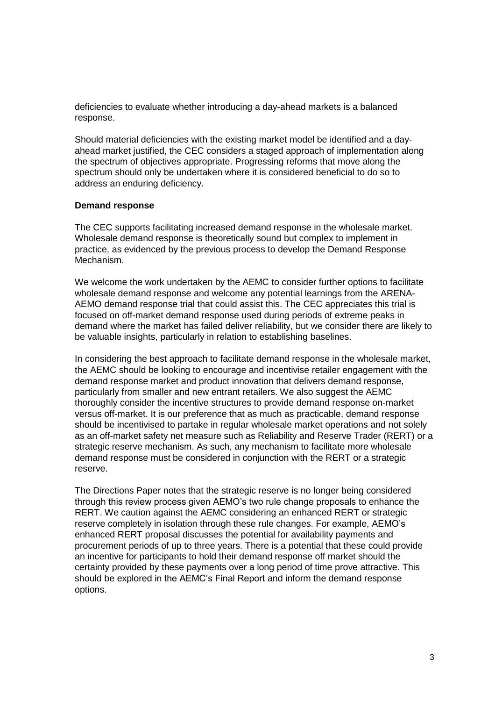deficiencies to evaluate whether introducing a day-ahead markets is a balanced response.

Should material deficiencies with the existing market model be identified and a dayahead market justified, the CEC considers a staged approach of implementation along the spectrum of objectives appropriate. Progressing reforms that move along the spectrum should only be undertaken where it is considered beneficial to do so to address an enduring deficiency.

### **Demand response**

The CEC supports facilitating increased demand response in the wholesale market. Wholesale demand response is theoretically sound but complex to implement in practice, as evidenced by the previous process to develop the Demand Response Mechanism.

We welcome the work undertaken by the AEMC to consider further options to facilitate wholesale demand response and welcome any potential learnings from the ARENA-AEMO demand response trial that could assist this. The CEC appreciates this trial is focused on off-market demand response used during periods of extreme peaks in demand where the market has failed deliver reliability, but we consider there are likely to be valuable insights, particularly in relation to establishing baselines.

In considering the best approach to facilitate demand response in the wholesale market, the AEMC should be looking to encourage and incentivise retailer engagement with the demand response market and product innovation that delivers demand response, particularly from smaller and new entrant retailers. We also suggest the AEMC thoroughly consider the incentive structures to provide demand response on-market versus off-market. It is our preference that as much as practicable, demand response should be incentivised to partake in regular wholesale market operations and not solely as an off-market safety net measure such as Reliability and Reserve Trader (RERT) or a strategic reserve mechanism. As such, any mechanism to facilitate more wholesale demand response must be considered in conjunction with the RERT or a strategic reserve.

The Directions Paper notes that the strategic reserve is no longer being considered through this review process given AEMO's two rule change proposals to enhance the RERT. We caution against the AEMC considering an enhanced RERT or strategic reserve completely in isolation through these rule changes. For example, AEMO's enhanced RERT proposal discusses the potential for availability payments and procurement periods of up to three years. There is a potential that these could provide an incentive for participants to hold their demand response off market should the certainty provided by these payments over a long period of time prove attractive. This should be explored in the AEMC's Final Report and inform the demand response options.